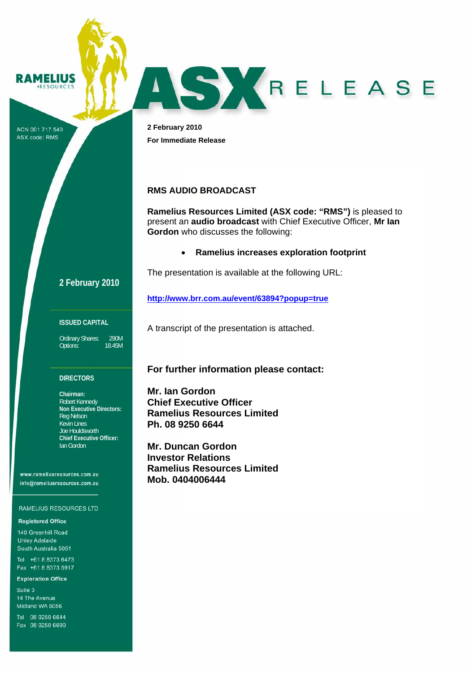

ACN 001 717 540 ASX code: RMS

**2 February 2010 For Immediate Release** 

# **RMS AUDIO BROADCAST**

**Ramelius Resources Limited (ASX code: "RMS")** is pleased to present an **audio broadcast** with Chief Executive Officer, **Mr Ian Gordon** who discusses the following:

ASKRELEASE

• **Ramelius increases exploration footprint** 

The presentation is available at the following URL:

**http://www.brr.com.au/event/63894?popup=true** 

### **ISSUED CAPITAL**

Ordinary Shares: 290M<br>Options: 18.45M Options:

**2 February 2010**

### **DIRECTORS**

**Chairman:**  Robert Kennedy **Non Executive Directors:**  Reg Nelson Kevin Lines Joe Houldsworth **Chief Executive Officer:**  Ian Gordon

www.rameliusresources.com.au info@rameliusresources.com.au

### RAMELIUS RESOURCES LTD

### **Registered Office**

140 Greenhill Road **Unley Adelaide** South Australia 5061

Tel +61 8 8373 6473 Fax +61 8 8373 5917

#### **Exploration Office**

Suite 3 14 The Avenue Midland WA 6056

Tel 08 9250 6644 Fax 08 9250 6699

**For further information please contact:** 

A transcript of the presentation is attached.

**Mr. Ian Gordon Chief Executive Officer Ramelius Resources Limited Ph. 08 9250 6644** 

**Mr. Duncan Gordon Investor Relations Ramelius Resources Limited Mob. 0404006444**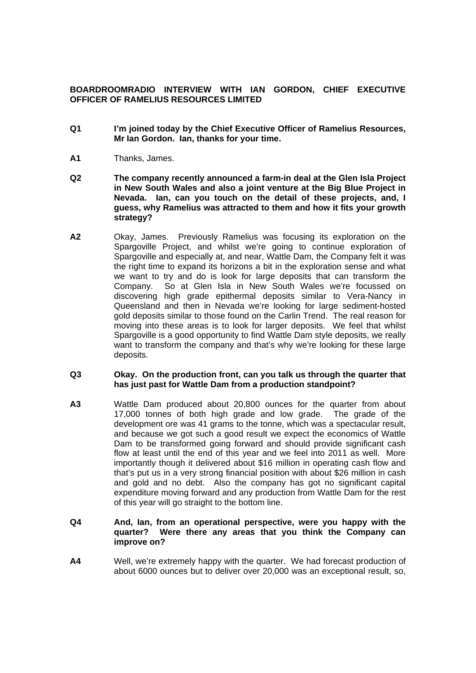# **BOARDROOMRADIO INTERVIEW WITH IAN GORDON, CHIEF EXECUTIVE OFFICER OF RAMELIUS RESOURCES LIMITED**

- **Q1 I'm joined today by the Chief Executive Officer of Ramelius Resources, Mr Ian Gordon. Ian, thanks for your time.**
- **A1** Thanks, James.
- **Q2 The company recently announced a farm-in deal at the Glen Isla Project in New South Wales and also a joint venture at the Big Blue Project in Nevada. Ian, can you touch on the detail of these projects, and, I guess, why Ramelius was attracted to them and how it fits your growth strategy?**
- **A2** Okay, James. Previously Ramelius was focusing its exploration on the Spargoville Project, and whilst we're going to continue exploration of Spargoville and especially at, and near, Wattle Dam, the Company felt it was the right time to expand its horizons a bit in the exploration sense and what we want to try and do is look for large deposits that can transform the Company. So at Glen Isla in New South Wales we're focussed on discovering high grade epithermal deposits similar to Vera-Nancy in Queensland and then in Nevada we're looking for large sediment-hosted gold deposits similar to those found on the Carlin Trend. The real reason for moving into these areas is to look for larger deposits. We feel that whilst Spargoville is a good opportunity to find Wattle Dam style deposits, we really want to transform the company and that's why we're looking for these large deposits.

## **Q3 Okay. On the production front, can you talk us through the quarter that has just past for Wattle Dam from a production standpoint?**

**A3** Wattle Dam produced about 20,800 ounces for the quarter from about 17,000 tonnes of both high grade and low grade. The grade of the development ore was 41 grams to the tonne, which was a spectacular result, and because we got such a good result we expect the economics of Wattle Dam to be transformed going forward and should provide significant cash flow at least until the end of this year and we feel into 2011 as well. More importantly though it delivered about \$16 million in operating cash flow and that's put us in a very strong financial position with about \$26 million in cash and gold and no debt. Also the company has got no significant capital expenditure moving forward and any production from Wattle Dam for the rest of this year will go straight to the bottom line.

## **Q4 And, Ian, from an operational perspective, were you happy with the quarter? Were there any areas that you think the Company can improve on?**

**A4** Well, we're extremely happy with the quarter. We had forecast production of about 6000 ounces but to deliver over 20,000 was an exceptional result, so,